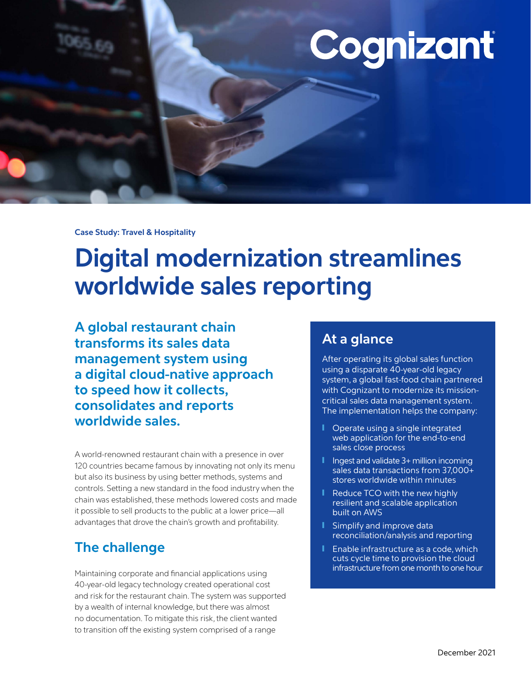# Cognizant

**Case Study: Travel & Hospitality** 

# **Digital modernization streamlines worldwide sales reporting**

**A global restaurant chain transforms its sales data management system using a digital cloud-native approach to speed how it collects, consolidates and reports worldwide sales.**

A world-renowned restaurant chain with a presence in over 120 countries became famous by innovating not only its menu but also its business by using better methods, systems and controls. Setting a new standard in the food industry when the chain was established, these methods lowered costs and made it possible to sell products to the public at a lower price—all advantages that drove the chain's growth and profitability.

# **The challenge**

Maintaining corporate and financial applications using 40-year-old legacy technology created operational cost and risk for the restaurant chain. The system was supported by a wealth of internal knowledge, but there was almost no documentation. To mitigate this risk, the client wanted to transition off the existing system comprised of a range

# **At a glance**

After operating its global sales function using a disparate 40-year-old legacy system, a global fast-food chain partnered with Cognizant to modernize its missioncritical sales data management system. The implementation helps the company:

- ❙ Operate using a single integrated web application for the end-to-end sales close process
- **I** Ingest and validate 3+ million incoming sales data transactions from 37,000+ stores worldwide within minutes
- Reduce TCO with the new highly resilient and scalable application built on AWS
- Simplify and improve data reconciliation/analysis and reporting
- Enable infrastructure as a code, which cuts cycle time to provision the cloud infrastructure from one month to one hour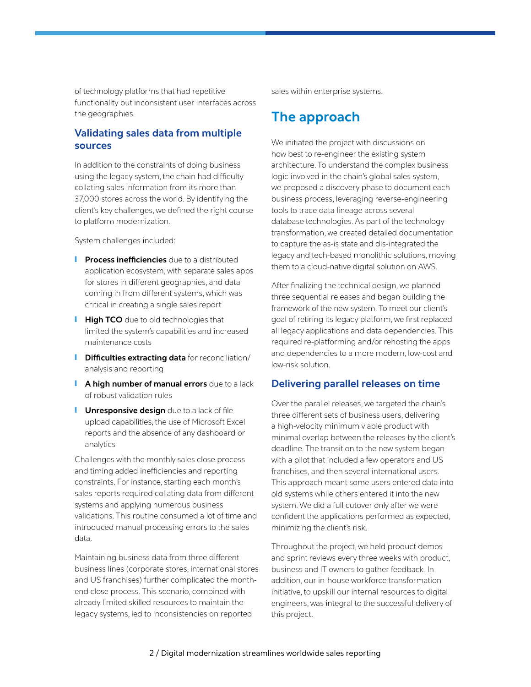of technology platforms that had repetitive functionality but inconsistent user interfaces across the geographies.

#### **Validating sales data from multiple sources**

In addition to the constraints of doing business using the legacy system, the chain had difficulty collating sales information from its more than 37,000 stores across the world. By identifying the client's key challenges, we defined the right course to platform modernization.

System challenges included:

- *I* Process inefficiencies due to a distributed application ecosystem, with separate sales apps for stores in different geographies, and data coming in from different systems, which was critical in creating a single sales report
- **High TCO** due to old technologies that limited the system's capabilities and increased maintenance costs
- **I** Difficulties extracting data for reconciliation/ analysis and reporting
- **I** A high number of manual errors due to a lack of robust validation rules
- **I** Unresponsive design due to a lack of file upload capabilities, the use of Microsoft Excel reports and the absence of any dashboard or analytics

Challenges with the monthly sales close process and timing added inefficiencies and reporting constraints. For instance, starting each month's sales reports required collating data from different systems and applying numerous business validations. This routine consumed a lot of time and introduced manual processing errors to the sales data.

Maintaining business data from three different business lines (corporate stores, international stores and US franchises) further complicated the monthend close process. This scenario, combined with already limited skilled resources to maintain the legacy systems, led to inconsistencies on reported

sales within enterprise systems.

## **The approach**

We initiated the project with discussions on how best to re-engineer the existing system architecture. To understand the complex business logic involved in the chain's global sales system, we proposed a discovery phase to document each business process, leveraging reverse-engineering tools to trace data lineage across several database technologies. As part of the technology transformation, we created detailed documentation to capture the as-is state and dis-integrated the legacy and tech-based monolithic solutions, moving them to a cloud-native digital solution on AWS.

After finalizing the technical design, we planned three sequential releases and began building the framework of the new system. To meet our client's goal of retiring its legacy platform, we first replaced all legacy applications and data dependencies. This required re-platforming and/or rehosting the apps and dependencies to a more modern, low-cost and low-risk solution.

#### **Delivering parallel releases on time**

Over the parallel releases, we targeted the chain's three different sets of business users, delivering a high-velocity minimum viable product with minimal overlap between the releases by the client's deadline. The transition to the new system began with a pilot that included a few operators and US franchises, and then several international users. This approach meant some users entered data into old systems while others entered it into the new system. We did a full cutover only after we were confident the applications performed as expected, minimizing the client's risk.

Throughout the project, we held product demos and sprint reviews every three weeks with product, business and IT owners to gather feedback. In addition, our in-house workforce transformation initiative, to upskill our internal resources to digital engineers, was integral to the successful delivery of this project.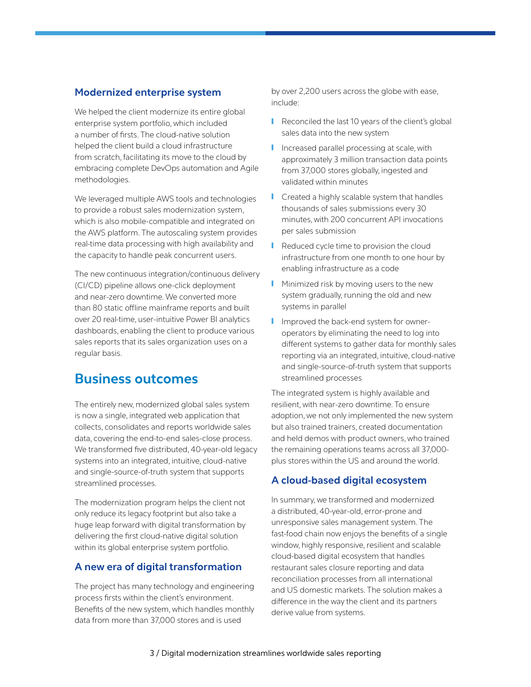#### **Modernized enterprise system**

We helped the client modernize its entire global enterprise system portfolio, which included a number of firsts. The cloud-native solution helped the client build a cloud infrastructure from scratch, facilitating its move to the cloud by embracing complete DevOps automation and Agile methodologies.

We leveraged multiple AWS tools and technologies to provide a robust sales modernization system, which is also mobile-compatible and integrated on the AWS platform. The autoscaling system provides real-time data processing with high availability and the capacity to handle peak concurrent users.

The new continuous integration/continuous delivery (CI/CD) pipeline allows one-click deployment and near-zero downtime. We converted more than 80 static offline mainframe reports and built over 20 real-time, user-intuitive Power BI analytics dashboards, enabling the client to produce various sales reports that its sales organization uses on a regular basis.

### **Business outcomes**

The entirely new, modernized global sales system is now a single, integrated web application that collects, consolidates and reports worldwide sales data, covering the end-to-end sales-close process. We transformed five distributed, 40-year-old legacy systems into an integrated, intuitive, cloud-native and single-source-of-truth system that supports streamlined processes.

The modernization program helps the client not only reduce its legacy footprint but also take a huge leap forward with digital transformation by delivering the first cloud-native digital solution within its global enterprise system portfolio.

#### **A new era of digital transformation**

The project has many technology and engineering process firsts within the client's environment. Benefits of the new system, which handles monthly data from more than 37,000 stores and is used

by over 2,200 users across the globe with ease, include:

- Reconciled the last 10 years of the client's global sales data into the new system
- Increased parallel processing at scale, with approximately 3 million transaction data points from 37,000 stores globally, ingested and validated within minutes
- Created a highly scalable system that handles thousands of sales submissions every 30 minutes, with 200 concurrent API invocations per sales submission
- Reduced cycle time to provision the cloud infrastructure from one month to one hour by enabling infrastructure as a code
- **I** Minimized risk by moving users to the new system gradually, running the old and new systems in parallel
- **I** Improved the back-end system for owneroperators by eliminating the need to log into different systems to gather data for monthly sales reporting via an integrated, intuitive, cloud-native and single-source-of-truth system that supports streamlined processes

The integrated system is highly available and resilient, with near-zero downtime. To ensure adoption, we not only implemented the new system but also trained trainers, created documentation and held demos with product owners, who trained the remaining operations teams across all 37,000 plus stores within the US and around the world.

#### **A cloud-based digital ecosystem**

In summary, we transformed and modernized a distributed, 40-year-old, error-prone and unresponsive sales management system. The fast-food chain now enjoys the benefits of a single window, highly responsive, resilient and scalable cloud-based digital ecosystem that handles restaurant sales closure reporting and data reconciliation processes from all international and US domestic markets. The solution makes a difference in the way the client and its partners derive value from systems.